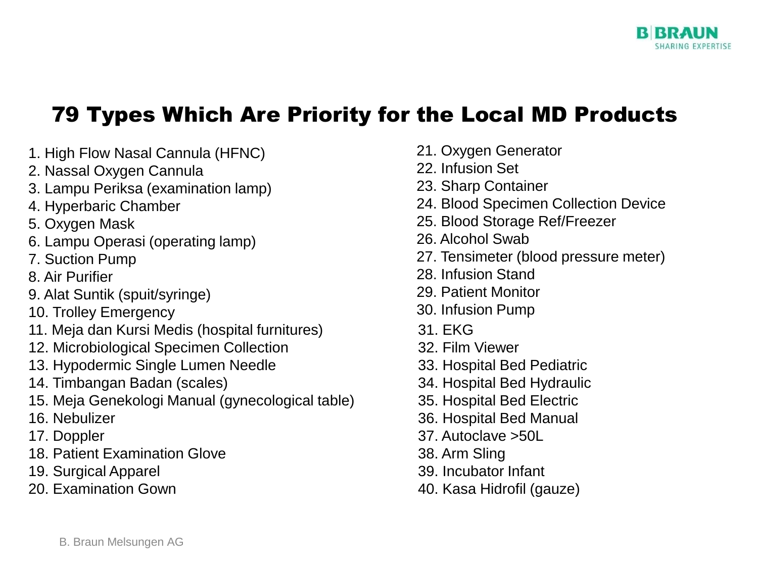

## 79 Types Which Are Priority for the Local MD Products

- 1. High Flow Nasal Cannula (HFNC)
- 2. Nassal Oxygen Cannula
- 3. Lampu Periksa (examination lamp)
- 4. Hyperbaric Chamber
- 5. Oxygen Mask
- 6. Lampu Operasi (operating lamp)
- 7. Suction Pump
- 8. Air Purifier
- 9. Alat Suntik (spuit/syringe)
- 10. Trolley Emergency
- 11. Meja dan Kursi Medis (hospital furnitures)
- 12. Microbiological Specimen Collection
- 13. Hypodermic Single Lumen Needle
- 14. Timbangan Badan (scales)
- 15. Meja Genekologi Manual (gynecological table)
- 16. Nebulizer
- 17. Doppler
- 18. Patient Examination Glove
- 19. Surgical Apparel
- 20. Examination Gown
- 21. Oxygen Generator
- 22. Infusion Set
- 23. Sharp Container
- 24. Blood Specimen Collection Device
- 25. Blood Storage Ref/Freezer
- 26. Alcohol Swab
- 27. Tensimeter (blood pressure meter)
- 28. Infusion Stand
- 29. Patient Monitor
- 30. Infusion Pump
- 31. EKG
- 32. Film Viewer
- 33. Hospital Bed Pediatric
- 34. Hospital Bed Hydraulic
- 35. Hospital Bed Electric
- 36. Hospital Bed Manual
- 37. Autoclave >50L
- 38. Arm Sling
- 39. Incubator Infant
- 40. Kasa Hidrofil (gauze)